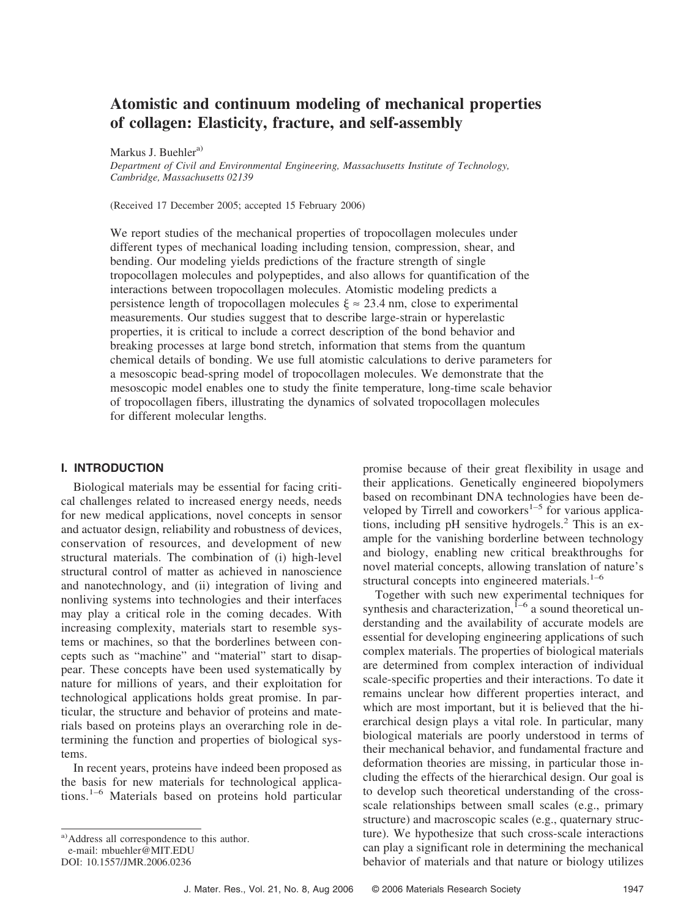# **Atomistic and continuum modeling of mechanical properties of collagen: Elasticity, fracture, and self-assembly**

Markus J. Buehler<sup>a)</sup>

*Department of Civil and Environmental Engineering, Massachusetts Institute of Technology, Cambridge, Massachusetts 02139*

(Received 17 December 2005; accepted 15 February 2006)

We report studies of the mechanical properties of tropocollagen molecules under different types of mechanical loading including tension, compression, shear, and bending. Our modeling yields predictions of the fracture strength of single tropocollagen molecules and polypeptides, and also allows for quantification of the interactions between tropocollagen molecules. Atomistic modeling predicts a persistence length of tropocollagen molecules  $\xi \approx 23.4$  nm, close to experimental measurements. Our studies suggest that to describe large-strain or hyperelastic properties, it is critical to include a correct description of the bond behavior and breaking processes at large bond stretch, information that stems from the quantum chemical details of bonding. We use full atomistic calculations to derive parameters for a mesoscopic bead-spring model of tropocollagen molecules. We demonstrate that the mesoscopic model enables one to study the finite temperature, long-time scale behavior of tropocollagen fibers, illustrating the dynamics of solvated tropocollagen molecules for different molecular lengths.

#### **I. INTRODUCTION**

Biological materials may be essential for facing critical challenges related to increased energy needs, needs for new medical applications, novel concepts in sensor and actuator design, reliability and robustness of devices, conservation of resources, and development of new structural materials. The combination of (i) high-level structural control of matter as achieved in nanoscience and nanotechnology, and (ii) integration of living and nonliving systems into technologies and their interfaces may play a critical role in the coming decades. With increasing complexity, materials start to resemble systems or machines, so that the borderlines between concepts such as "machine" and "material" start to disappear. These concepts have been used systematically by nature for millions of years, and their exploitation for technological applications holds great promise. In particular, the structure and behavior of proteins and materials based on proteins plays an overarching role in determining the function and properties of biological systems.

In recent years, proteins have indeed been proposed as the basis for new materials for technological applications.1–6 Materials based on proteins hold particular

promise because of their great flexibility in usage and their applications. Genetically engineered biopolymers based on recombinant DNA technologies have been developed by Tirrell and coworkers<sup> $1-5$ </sup> for various applications, including pH sensitive hydrogels.<sup>2</sup> This is an example for the vanishing borderline between technology and biology, enabling new critical breakthroughs for novel material concepts, allowing translation of nature's structural concepts into engineered materials. $1-6$ 

Together with such new experimental techniques for synthesis and characterization,  $1-6$  a sound theoretical understanding and the availability of accurate models are essential for developing engineering applications of such complex materials. The properties of biological materials are determined from complex interaction of individual scale-specific properties and their interactions. To date it remains unclear how different properties interact, and which are most important, but it is believed that the hierarchical design plays a vital role. In particular, many biological materials are poorly understood in terms of their mechanical behavior, and fundamental fracture and deformation theories are missing, in particular those including the effects of the hierarchical design. Our goal is to develop such theoretical understanding of the crossscale relationships between small scales (e.g., primary structure) and macroscopic scales (e.g., quaternary structure). We hypothesize that such cross-scale interactions can play a significant role in determining the mechanical behavior of materials and that nature or biology utilizes

a)Address all correspondence to this author.

e-mail: mbuehler@MIT.EDU

DOI: 10.1557/JMR.2006.0236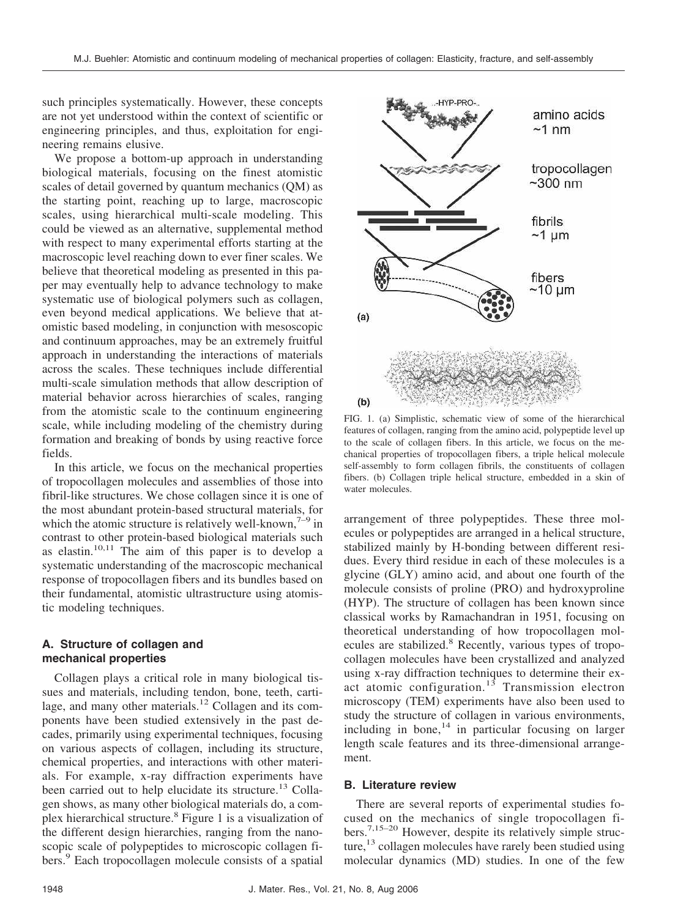such principles systematically. However, these concepts are not yet understood within the context of scientific or engineering principles, and thus, exploitation for engineering remains elusive.

We propose a bottom-up approach in understanding biological materials, focusing on the finest atomistic scales of detail governed by quantum mechanics (QM) as the starting point, reaching up to large, macroscopic scales, using hierarchical multi-scale modeling. This could be viewed as an alternative, supplemental method with respect to many experimental efforts starting at the macroscopic level reaching down to ever finer scales. We believe that theoretical modeling as presented in this paper may eventually help to advance technology to make systematic use of biological polymers such as collagen, even beyond medical applications. We believe that atomistic based modeling, in conjunction with mesoscopic and continuum approaches, may be an extremely fruitful approach in understanding the interactions of materials across the scales. These techniques include differential multi-scale simulation methods that allow description of material behavior across hierarchies of scales, ranging from the atomistic scale to the continuum engineering scale, while including modeling of the chemistry during formation and breaking of bonds by using reactive force fields.

In this article, we focus on the mechanical properties of tropocollagen molecules and assemblies of those into fibril-like structures. We chose collagen since it is one of the most abundant protein-based structural materials, for which the atomic structure is relatively well-known,<sup> $7-9$ </sup> in contrast to other protein-based biological materials such as elastin.<sup>10,11</sup> The aim of this paper is to develop a systematic understanding of the macroscopic mechanical response of tropocollagen fibers and its bundles based on their fundamental, atomistic ultrastructure using atomistic modeling techniques.

# **A. Structure of collagen and mechanical properties**

Collagen plays a critical role in many biological tissues and materials, including tendon, bone, teeth, cartilage, and many other materials.<sup>12</sup> Collagen and its components have been studied extensively in the past decades, primarily using experimental techniques, focusing on various aspects of collagen, including its structure, chemical properties, and interactions with other materials. For example, x-ray diffraction experiments have been carried out to help elucidate its structure.<sup>13</sup> Collagen shows, as many other biological materials do, a complex hierarchical structure.8 Figure 1 is a visualization of the different design hierarchies, ranging from the nanoscopic scale of polypeptides to microscopic collagen fibers.<sup>9</sup> Each tropocollagen molecule consists of a spatial



FIG. 1. (a) Simplistic, schematic view of some of the hierarchical features of collagen, ranging from the amino acid, polypeptide level up to the scale of collagen fibers. In this article, we focus on the mechanical properties of tropocollagen fibers, a triple helical molecule self-assembly to form collagen fibrils, the constituents of collagen fibers. (b) Collagen triple helical structure, embedded in a skin of water molecules.

arrangement of three polypeptides. These three molecules or polypeptides are arranged in a helical structure, stabilized mainly by H-bonding between different residues. Every third residue in each of these molecules is a glycine (GLY) amino acid, and about one fourth of the molecule consists of proline (PRO) and hydroxyproline (HYP). The structure of collagen has been known since classical works by Ramachandran in 1951, focusing on theoretical understanding of how tropocollagen molecules are stabilized.<sup>8</sup> Recently, various types of tropocollagen molecules have been crystallized and analyzed using x-ray diffraction techniques to determine their exact atomic configuration.<sup>13</sup> Transmission electron microscopy (TEM) experiments have also been used to study the structure of collagen in various environments, including in bone, $14$  in particular focusing on larger length scale features and its three-dimensional arrangement.

## **B. Literature review**

There are several reports of experimental studies focused on the mechanics of single tropocollagen fibers.7,15–20 However, despite its relatively simple structure, $^{13}$  collagen molecules have rarely been studied using molecular dynamics (MD) studies. In one of the few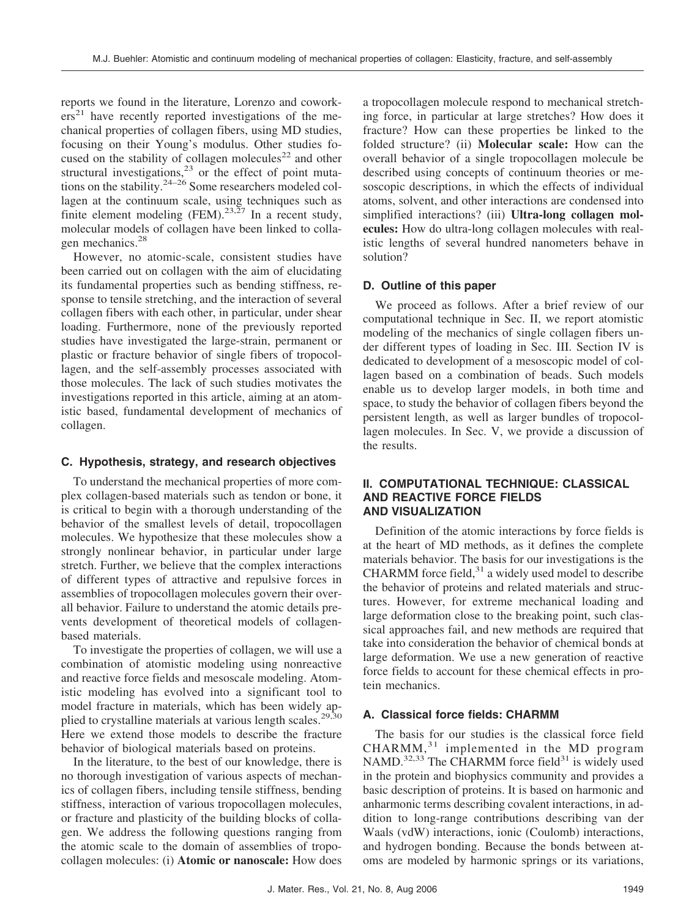reports we found in the literature, Lorenzo and cowork $ers<sup>21</sup>$  have recently reported investigations of the mechanical properties of collagen fibers, using MD studies, focusing on their Young's modulus. Other studies focused on the stability of collagen molecules<sup>22</sup> and other structural investigations, $^{23}$  or the effect of point mutations on the stability.24–26 Some researchers modeled collagen at the continuum scale, using techniques such as finite element modeling  $(FEM)$ .<sup>23,27</sup> In a recent study, molecular models of collagen have been linked to collagen mechanics.<sup>28</sup>

However, no atomic-scale, consistent studies have been carried out on collagen with the aim of elucidating its fundamental properties such as bending stiffness, response to tensile stretching, and the interaction of several collagen fibers with each other, in particular, under shear loading. Furthermore, none of the previously reported studies have investigated the large-strain, permanent or plastic or fracture behavior of single fibers of tropocollagen, and the self-assembly processes associated with those molecules. The lack of such studies motivates the investigations reported in this article, aiming at an atomistic based, fundamental development of mechanics of collagen.

# **C. Hypothesis, strategy, and research objectives**

To understand the mechanical properties of more complex collagen-based materials such as tendon or bone, it is critical to begin with a thorough understanding of the behavior of the smallest levels of detail, tropocollagen molecules. We hypothesize that these molecules show a strongly nonlinear behavior, in particular under large stretch. Further, we believe that the complex interactions of different types of attractive and repulsive forces in assemblies of tropocollagen molecules govern their overall behavior. Failure to understand the atomic details prevents development of theoretical models of collagenbased materials.

To investigate the properties of collagen, we will use a combination of atomistic modeling using nonreactive and reactive force fields and mesoscale modeling. Atomistic modeling has evolved into a significant tool to model fracture in materials, which has been widely applied to crystalline materials at various length scales.<sup>29,30</sup> Here we extend those models to describe the fracture behavior of biological materials based on proteins.

In the literature, to the best of our knowledge, there is no thorough investigation of various aspects of mechanics of collagen fibers, including tensile stiffness, bending stiffness, interaction of various tropocollagen molecules, or fracture and plasticity of the building blocks of collagen. We address the following questions ranging from the atomic scale to the domain of assemblies of tropocollagen molecules: (i) **Atomic or nanoscale:** How does

a tropocollagen molecule respond to mechanical stretching force, in particular at large stretches? How does it fracture? How can these properties be linked to the folded structure? (ii) **Molecular scale:** How can the overall behavior of a single tropocollagen molecule be described using concepts of continuum theories or mesoscopic descriptions, in which the effects of individual atoms, solvent, and other interactions are condensed into simplified interactions? (iii) **Ultra-long collagen molecules:** How do ultra-long collagen molecules with realistic lengths of several hundred nanometers behave in solution?

# **D. Outline of this paper**

We proceed as follows. After a brief review of our computational technique in Sec. II, we report atomistic modeling of the mechanics of single collagen fibers under different types of loading in Sec. III. Section IV is dedicated to development of a mesoscopic model of collagen based on a combination of beads. Such models enable us to develop larger models, in both time and space, to study the behavior of collagen fibers beyond the persistent length, as well as larger bundles of tropocollagen molecules. In Sec. V, we provide a discussion of the results.

# **II. COMPUTATIONAL TECHNIQUE: CLASSICAL AND REACTIVE FORCE FIELDS AND VISUALIZATION**

Definition of the atomic interactions by force fields is at the heart of MD methods, as it defines the complete materials behavior. The basis for our investigations is the CHARMM force field, $31$  a widely used model to describe the behavior of proteins and related materials and structures. However, for extreme mechanical loading and large deformation close to the breaking point, such classical approaches fail, and new methods are required that take into consideration the behavior of chemical bonds at large deformation. We use a new generation of reactive force fields to account for these chemical effects in protein mechanics.

# **A. Classical force fields: CHARMM**

The basis for our studies is the classical force field  $CHARMM<sup>31</sup>$  implemented in the MD program NAMD.<sup>32,33</sup> The CHARMM force field<sup>31</sup> is widely used in the protein and biophysics community and provides a basic description of proteins. It is based on harmonic and anharmonic terms describing covalent interactions, in addition to long-range contributions describing van der Waals (vdW) interactions, ionic (Coulomb) interactions, and hydrogen bonding. Because the bonds between atoms are modeled by harmonic springs or its variations,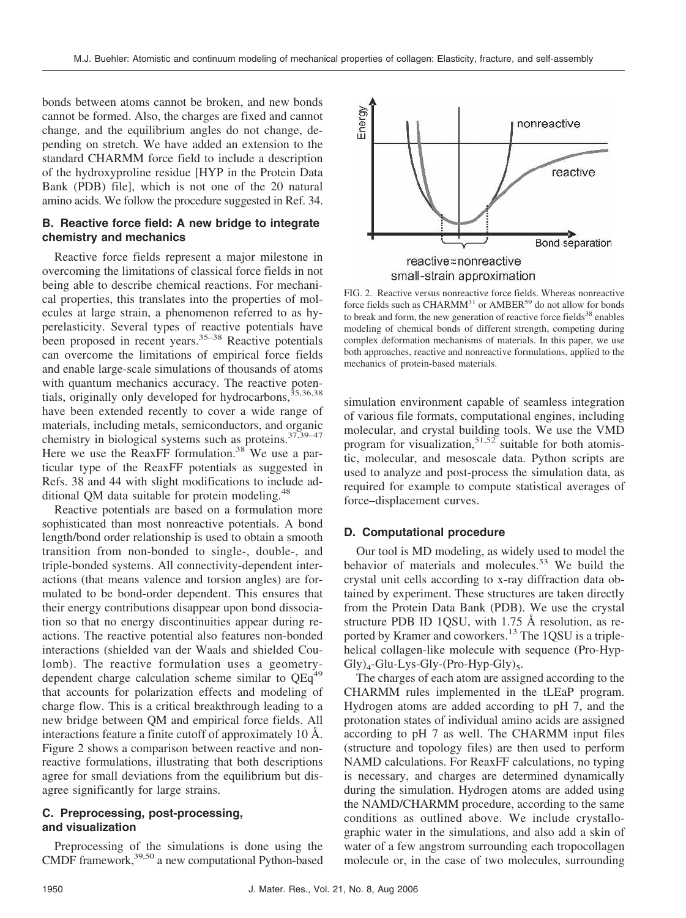bonds between atoms cannot be broken, and new bonds cannot be formed. Also, the charges are fixed and cannot change, and the equilibrium angles do not change, depending on stretch. We have added an extension to the standard CHARMM force field to include a description of the hydroxyproline residue [HYP in the Protein Data Bank (PDB) file], which is not one of the 20 natural amino acids. We follow the procedure suggested in Ref. 34.

# **B. Reactive force field: A new bridge to integrate chemistry and mechanics**

Reactive force fields represent a major milestone in overcoming the limitations of classical force fields in not being able to describe chemical reactions. For mechanical properties, this translates into the properties of molecules at large strain, a phenomenon referred to as hyperelasticity. Several types of reactive potentials have been proposed in recent years. $35-38$  Reactive potentials can overcome the limitations of empirical force fields and enable large-scale simulations of thousands of atoms with quantum mechanics accuracy. The reactive potentials, originally only developed for hydrocarbons,  $35,36,38$ have been extended recently to cover a wide range of materials, including metals, semiconductors, and organic chemistry in biological systems such as proteins.<sup>37,39–47</sup> Here we use the  $\overrightarrow{ReaxFF}$  formulation.<sup>38</sup> We use a particular type of the ReaxFF potentials as suggested in Refs. 38 and 44 with slight modifications to include additional QM data suitable for protein modeling.<sup>48</sup>

Reactive potentials are based on a formulation more sophisticated than most nonreactive potentials. A bond length/bond order relationship is used to obtain a smooth transition from non-bonded to single-, double-, and triple-bonded systems. All connectivity-dependent interactions (that means valence and torsion angles) are formulated to be bond-order dependent. This ensures that their energy contributions disappear upon bond dissociation so that no energy discontinuities appear during reactions. The reactive potential also features non-bonded interactions (shielded van der Waals and shielded Coulomb). The reactive formulation uses a geometrydependent charge calculation scheme similar to QEq<sup>49</sup> that accounts for polarization effects and modeling of charge flow. This is a critical breakthrough leading to a new bridge between QM and empirical force fields. All interactions feature a finite cutoff of approximately 10 Å. Figure 2 shows a comparison between reactive and nonreactive formulations, illustrating that both descriptions agree for small deviations from the equilibrium but disagree significantly for large strains.

# **C. Preprocessing, post-processing, and visualization**

Preprocessing of the simulations is done using the CMDF framework,<sup>39,50</sup> a new computational Python-based



FIG. 2. Reactive versus nonreactive force fields. Whereas nonreactive force fields such as CHARMM<sup>31</sup> or AMBER<sup>59</sup> do not allow for bonds to break and form, the new generation of reactive force fields  $^{38}$  enables modeling of chemical bonds of different strength, competing during complex deformation mechanisms of materials. In this paper, we use both approaches, reactive and nonreactive formulations, applied to the mechanics of protein-based materials.

simulation environment capable of seamless integration of various file formats, computational engines, including molecular, and crystal building tools. We use the VMD program for visualization,<sup>51,52</sup> suitable for both atomistic, molecular, and mesoscale data. Python scripts are used to analyze and post-process the simulation data, as required for example to compute statistical averages of force–displacement curves.

#### **D. Computational procedure**

Our tool is MD modeling, as widely used to model the behavior of materials and molecules.<sup>53</sup> We build the crystal unit cells according to x-ray diffraction data obtained by experiment. These structures are taken directly from the Protein Data Bank (PDB). We use the crystal structure PDB ID 1QSU, with 1.75 Å resolution, as reported by Kramer and coworkers.<sup>13</sup> The 1QSU is a triplehelical collagen-like molecule with sequence (Pro-Hyp- $Gly)_4$ -Glu-Lys-Gly-(Pro-Hyp-Gly)<sub>5</sub>.

The charges of each atom are assigned according to the CHARMM rules implemented in the tLEaP program. Hydrogen atoms are added according to pH 7, and the protonation states of individual amino acids are assigned according to pH 7 as well. The CHARMM input files (structure and topology files) are then used to perform NAMD calculations. For ReaxFF calculations, no typing is necessary, and charges are determined dynamically during the simulation. Hydrogen atoms are added using the NAMD/CHARMM procedure, according to the same conditions as outlined above. We include crystallographic water in the simulations, and also add a skin of water of a few angstrom surrounding each tropocollagen molecule or, in the case of two molecules, surrounding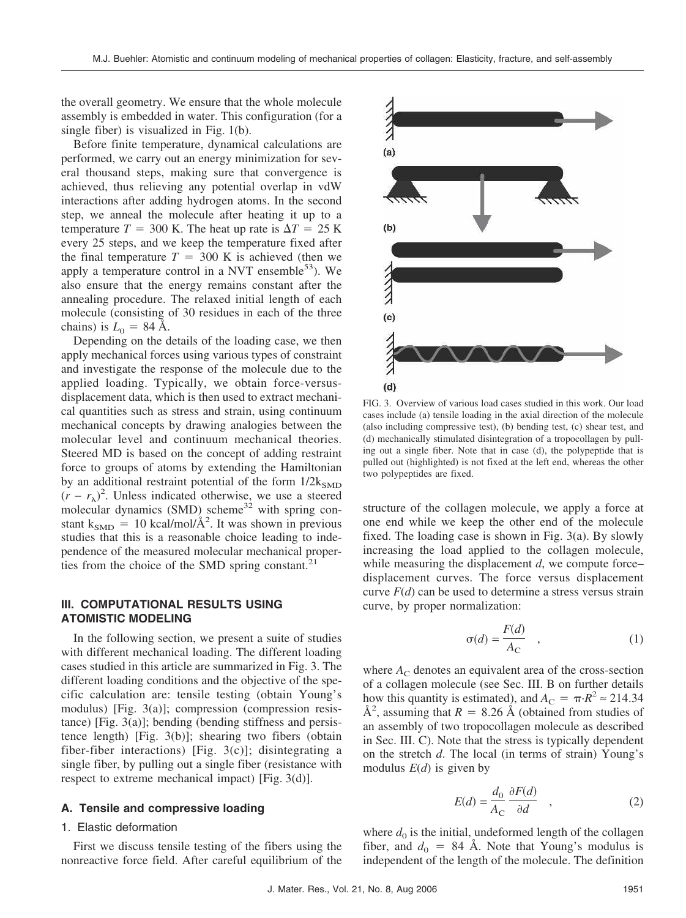the overall geometry. We ensure that the whole molecule assembly is embedded in water. This configuration (for a single fiber) is visualized in Fig. 1(b).

Before finite temperature, dynamical calculations are performed, we carry out an energy minimization for several thousand steps, making sure that convergence is achieved, thus relieving any potential overlap in vdW interactions after adding hydrogen atoms. In the second step, we anneal the molecule after heating it up to a temperature  $T = 300$  K. The heat up rate is  $\Delta T = 25$  K every 25 steps, and we keep the temperature fixed after the final temperature  $T = 300$  K is achieved (then we apply a temperature control in a NVT ensemble $53$ ). We also ensure that the energy remains constant after the annealing procedure. The relaxed initial length of each molecule (consisting of 30 residues in each of the three chains) is  $L_0 = 84$  Å.

Depending on the details of the loading case, we then apply mechanical forces using various types of constraint and investigate the response of the molecule due to the applied loading. Typically, we obtain force-versusdisplacement data, which is then used to extract mechanical quantities such as stress and strain, using continuum mechanical concepts by drawing analogies between the molecular level and continuum mechanical theories. Steered MD is based on the concept of adding restraint force to groups of atoms by extending the Hamiltonian by an additional restraint potential of the form  $1/2k_{\text{SMD}}$  $(r - r_{\lambda})^2$ . Unless indicated otherwise, we use a steered molecular dynamics (SMD) scheme $32$  with spring constant  $k_{SMD} = 10$  kcal/mol/ $\AA^2$ . It was shown in previous studies that this is a reasonable choice leading to independence of the measured molecular mechanical properties from the choice of the SMD spring constant. $^{21}$ 

# **III. COMPUTATIONAL RESULTS USING ATOMISTIC MODELING**

In the following section, we present a suite of studies with different mechanical loading. The different loading cases studied in this article are summarized in Fig. 3. The different loading conditions and the objective of the specific calculation are: tensile testing (obtain Young's modulus) [Fig. 3(a)]; compression (compression resistance) [Fig. 3(a)]; bending (bending stiffness and persistence length) [Fig. 3(b)]; shearing two fibers (obtain fiber-fiber interactions) [Fig. 3(c)]; disintegrating a single fiber, by pulling out a single fiber (resistance with respect to extreme mechanical impact) [Fig. 3(d)].

## **A. Tensile and compressive loading**

#### 1. Elastic deformation

First we discuss tensile testing of the fibers using the nonreactive force field. After careful equilibrium of the



FIG. 3. Overview of various load cases studied in this work. Our load cases include (a) tensile loading in the axial direction of the molecule (also including compressive test), (b) bending test, (c) shear test, and (d) mechanically stimulated disintegration of a tropocollagen by pulling out a single fiber. Note that in case (d), the polypeptide that is pulled out (highlighted) is not fixed at the left end, whereas the other two polypeptides are fixed.

structure of the collagen molecule, we apply a force at one end while we keep the other end of the molecule fixed. The loading case is shown in Fig. 3(a). By slowly increasing the load applied to the collagen molecule, while measuring the displacement *d*, we compute force– displacement curves. The force versus displacement curve *F*(*d*) can be used to determine a stress versus strain curve, by proper normalization:

$$
\sigma(d) = \frac{F(d)}{A_{\rm C}} \quad , \tag{1}
$$

where  $A_C$  denotes an equivalent area of the cross-section of a collagen molecule (see Sec. III. B on further details how this quantity is estimated), and  $A_C = \pi \cdot R^2 \approx 214.34$  $\AA^2$ , assuming that  $R = 8.26 \text{ Å}$  (obtained from studies of an assembly of two tropocollagen molecule as described in Sec. III. C). Note that the stress is typically dependent on the stretch *d*. The local (in terms of strain) Young's modulus  $E(d)$  is given by

$$
E(d) = \frac{d_0}{A_C} \frac{\partial F(d)}{\partial d} \quad , \tag{2}
$$

where  $d_0$  is the initial, undeformed length of the collagen fiber, and  $d_0 = 84$  Å. Note that Young's modulus is independent of the length of the molecule. The definition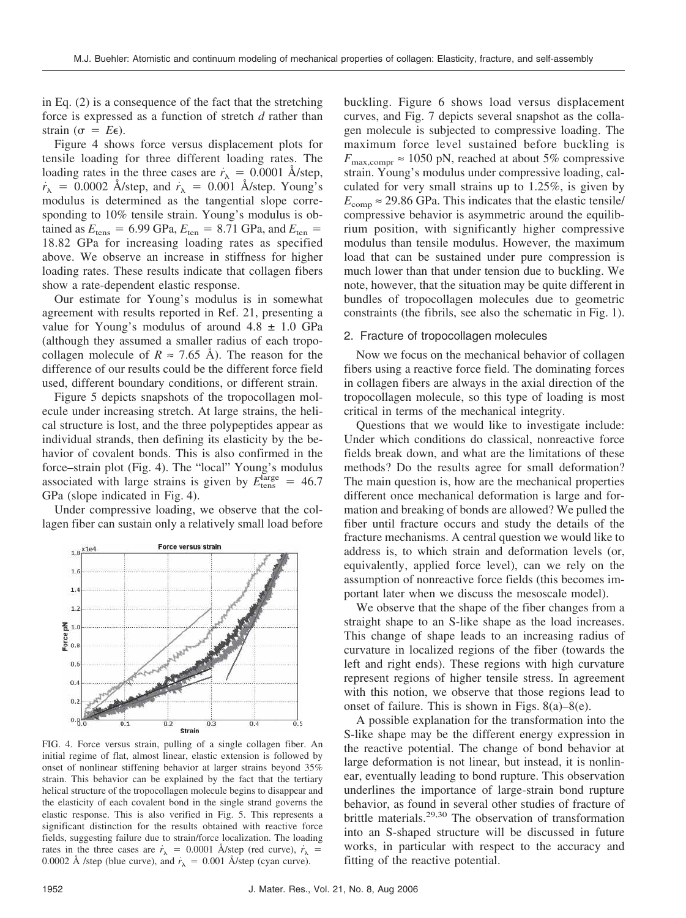in Eq. (2) is a consequence of the fact that the stretching force is expressed as a function of stretch *d* rather than strain ( $\sigma = E\epsilon$ ).

Figure 4 shows force versus displacement plots for tensile loading for three different loading rates. The loading rates in the three cases are  $\dot{r}_\lambda = 0.0001$  Å/step,  $\dot{r}_{\lambda}$  = 0.0002 Å/step, and  $\dot{r}_{\lambda}$  = 0.001 Å/step. Young's modulus is determined as the tangential slope corresponding to 10% tensile strain. Young's modulus is obtained as  $E_{\text{tens}} = 6.99 \text{ GPa}$ ,  $E_{\text{ten}} = 8.71 \text{ GPa}$ , and  $E_{\text{ten}} =$ 18.82 GPa for increasing loading rates as specified above. We observe an increase in stiffness for higher loading rates. These results indicate that collagen fibers show a rate-dependent elastic response.

Our estimate for Young's modulus is in somewhat agreement with results reported in Ref. 21, presenting a value for Young's modulus of around  $4.8 \pm 1.0$  GPa (although they assumed a smaller radius of each tropocollagen molecule of  $R \approx 7.65$  Å). The reason for the difference of our results could be the different force field used, different boundary conditions, or different strain.

Figure 5 depicts snapshots of the tropocollagen molecule under increasing stretch. At large strains, the helical structure is lost, and the three polypeptides appear as individual strands, then defining its elasticity by the behavior of covalent bonds. This is also confirmed in the force–strain plot (Fig. 4). The "local" Young's modulus associated with large strains is given by  $E_{\text{tens}}^{\text{large}} = 46.7$ GPa (slope indicated in Fig. 4).

Under compressive loading, we observe that the collagen fiber can sustain only a relatively small load before



FIG. 4. Force versus strain, pulling of a single collagen fiber. An initial regime of flat, almost linear, elastic extension is followed by onset of nonlinear stiffening behavior at larger strains beyond 35% strain. This behavior can be explained by the fact that the tertiary helical structure of the tropocollagen molecule begins to disappear and the elasticity of each covalent bond in the single strand governs the elastic response. This is also verified in Fig. 5. This represents a significant distinction for the results obtained with reactive force fields, suggesting failure due to strain/force localization. The loading rates in the three cases are  $\dot{r}_{\lambda}$  = 0.0001 Å/step (red curve),  $\dot{r}_{\lambda}$  = 0.0002 Å /step (blue curve), and  $\dot{r}_\lambda = 0.001$  Å/step (cyan curve).

buckling. Figure 6 shows load versus displacement curves, and Fig. 7 depicts several snapshot as the collagen molecule is subjected to compressive loading. The maximum force level sustained before buckling is  $F_{\text{max,compr}} \approx 1050 \text{ pN}$ , reached at about 5% compressive strain. Young's modulus under compressive loading, calculated for very small strains up to 1.25%, is given by  $E_{\text{comp}} \approx 29.86 \text{ GPa}$ . This indicates that the elastic tensile/ compressive behavior is asymmetric around the equilibrium position, with significantly higher compressive modulus than tensile modulus. However, the maximum load that can be sustained under pure compression is much lower than that under tension due to buckling. We note, however, that the situation may be quite different in bundles of tropocollagen molecules due to geometric constraints (the fibrils, see also the schematic in Fig. 1).

#### 2. Fracture of tropocollagen molecules

Now we focus on the mechanical behavior of collagen fibers using a reactive force field. The dominating forces in collagen fibers are always in the axial direction of the tropocollagen molecule, so this type of loading is most critical in terms of the mechanical integrity.

Questions that we would like to investigate include: Under which conditions do classical, nonreactive force fields break down, and what are the limitations of these methods? Do the results agree for small deformation? The main question is, how are the mechanical properties different once mechanical deformation is large and formation and breaking of bonds are allowed? We pulled the fiber until fracture occurs and study the details of the fracture mechanisms. A central question we would like to address is, to which strain and deformation levels (or, equivalently, applied force level), can we rely on the assumption of nonreactive force fields (this becomes important later when we discuss the mesoscale model).

We observe that the shape of the fiber changes from a straight shape to an S-like shape as the load increases. This change of shape leads to an increasing radius of curvature in localized regions of the fiber (towards the left and right ends). These regions with high curvature represent regions of higher tensile stress. In agreement with this notion, we observe that those regions lead to onset of failure. This is shown in Figs. 8(a)–8(e).

A possible explanation for the transformation into the S-like shape may be the different energy expression in the reactive potential. The change of bond behavior at large deformation is not linear, but instead, it is nonlinear, eventually leading to bond rupture. This observation underlines the importance of large-strain bond rupture behavior, as found in several other studies of fracture of brittle materials.<sup>29,30</sup> The observation of transformation into an S-shaped structure will be discussed in future works, in particular with respect to the accuracy and fitting of the reactive potential.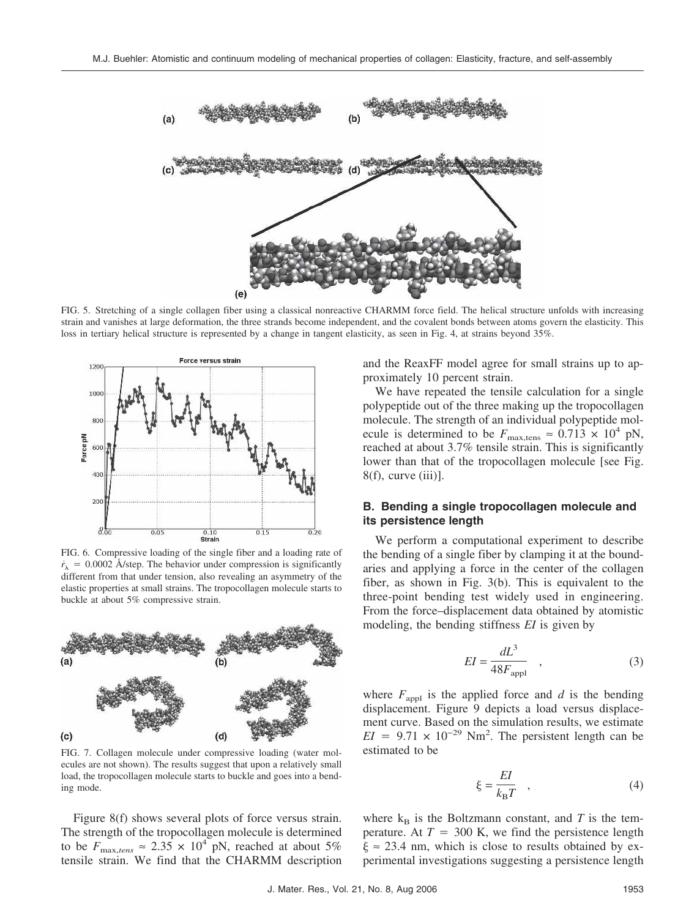

FIG. 5. Stretching of a single collagen fiber using a classical nonreactive CHARMM force field. The helical structure unfolds with increasing strain and vanishes at large deformation, the three strands become independent, and the covalent bonds between atoms govern the elasticity. This loss in tertiary helical structure is represented by a change in tangent elasticity, as seen in Fig. 4, at strains beyond 35%.



FIG. 6. Compressive loading of the single fiber and a loading rate of  $\dot{r}_{\lambda} = 0.0002$  Å/step. The behavior under compression is significantly different from that under tension, also revealing an asymmetry of the elastic properties at small strains. The tropocollagen molecule starts to buckle at about 5% compressive strain.



FIG. 7. Collagen molecule under compressive loading (water molecules are not shown). The results suggest that upon a relatively small load, the tropocollagen molecule starts to buckle and goes into a bending mode.

Figure 8(f) shows several plots of force versus strain. The strength of the tropocollagen molecule is determined to be  $F_{\text{max, tens}} \approx 2.35 \times 10^4 \text{ pN}$ , reached at about 5% tensile strain. We find that the CHARMM description and the ReaxFF model agree for small strains up to approximately 10 percent strain.

We have repeated the tensile calculation for a single polypeptide out of the three making up the tropocollagen molecule. The strength of an individual polypeptide molecule is determined to be  $F_{\text{max, tens}} \approx 0.713 \times 10^4 \text{ pN}$ , reached at about 3.7% tensile strain. This is significantly lower than that of the tropocollagen molecule [see Fig.  $8(f)$ , curve (iii)].

## **B. Bending a single tropocollagen molecule and its persistence length**

We perform a computational experiment to describe the bending of a single fiber by clamping it at the boundaries and applying a force in the center of the collagen fiber, as shown in Fig. 3(b). This is equivalent to the three-point bending test widely used in engineering. From the force–displacement data obtained by atomistic modeling, the bending stiffness *EI* is given by

$$
EI = \frac{dL^3}{48F_{\text{appl}}} \quad , \tag{3}
$$

where  $F_{\text{appl}}$  is the applied force and  $d$  is the bending displacement. Figure 9 depicts a load versus displacement curve. Based on the simulation results, we estimate  $EI = 9.71 \times 10^{-29}$  Nm<sup>2</sup>. The persistent length can be estimated to be

$$
\xi = \frac{EI}{k_{\rm B}T} \quad , \tag{4}
$$

where  $k_B$  is the Boltzmann constant, and *T* is the temperature. At  $T = 300$  K, we find the persistence length  $\xi \approx 23.4$  nm, which is close to results obtained by experimental investigations suggesting a persistence length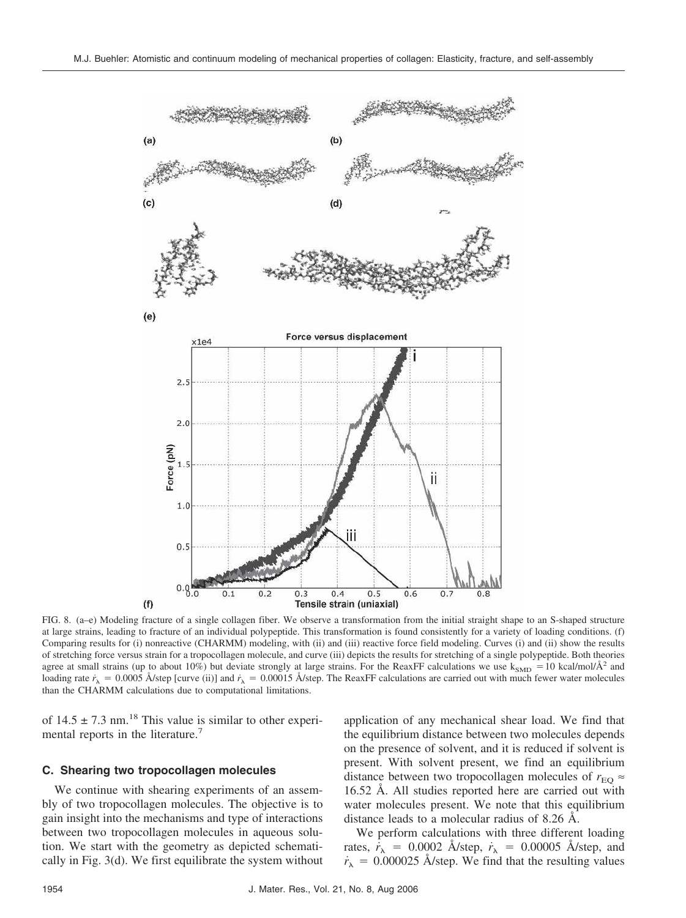

FIG. 8. (a–e) Modeling fracture of a single collagen fiber. We observe a transformation from the initial straight shape to an S-shaped structure at large strains, leading to fracture of an individual polypeptide. This transformation is found consistently for a variety of loading conditions. (f) Comparing results for (i) nonreactive (CHARMM) modeling, with (ii) and (iii) reactive force field modeling. Curves (i) and (ii) show the results of stretching force versus strain for a tropocollagen molecule, and curve (iii) depicts the results for stretching of a single polypeptide. Both theories agree at small strains (up to about 10%) but deviate strongly at large strains. For the ReaxFF calculations we use  $k_{SMD} = 10$  kcal/mol/Å<sup>2</sup> and loading rate  $\dot{r}_\lambda = 0.0005$  Å/step [curve (ii)] and  $\dot{r}_\lambda = 0.00015$  Å/step. The ReaxFF calculations are carried out with much fewer water molecules than the CHARMM calculations due to computational limitations.

of  $14.5 \pm 7.3$  nm.<sup>18</sup> This value is similar to other experimental reports in the literature.<sup>7</sup>

#### **C. Shearing two tropocollagen molecules**

We continue with shearing experiments of an assembly of two tropocollagen molecules. The objective is to gain insight into the mechanisms and type of interactions between two tropocollagen molecules in aqueous solution. We start with the geometry as depicted schematically in Fig. 3(d). We first equilibrate the system without application of any mechanical shear load. We find that the equilibrium distance between two molecules depends on the presence of solvent, and it is reduced if solvent is present. With solvent present, we find an equilibrium distance between two tropocollagen molecules of  $r_{\text{EO}} \approx$ 16.52 Å. All studies reported here are carried out with water molecules present. We note that this equilibrium distance leads to a molecular radius of 8.26 Å.

We perform calculations with three different loading rates,  $\dot{r}_{\lambda}$  = 0.0002 Å/step,  $\dot{r}_{\lambda}$  = 0.00005 Å/step, and  $\dot{r}_{\lambda} = 0.000025$  Å/step. We find that the resulting values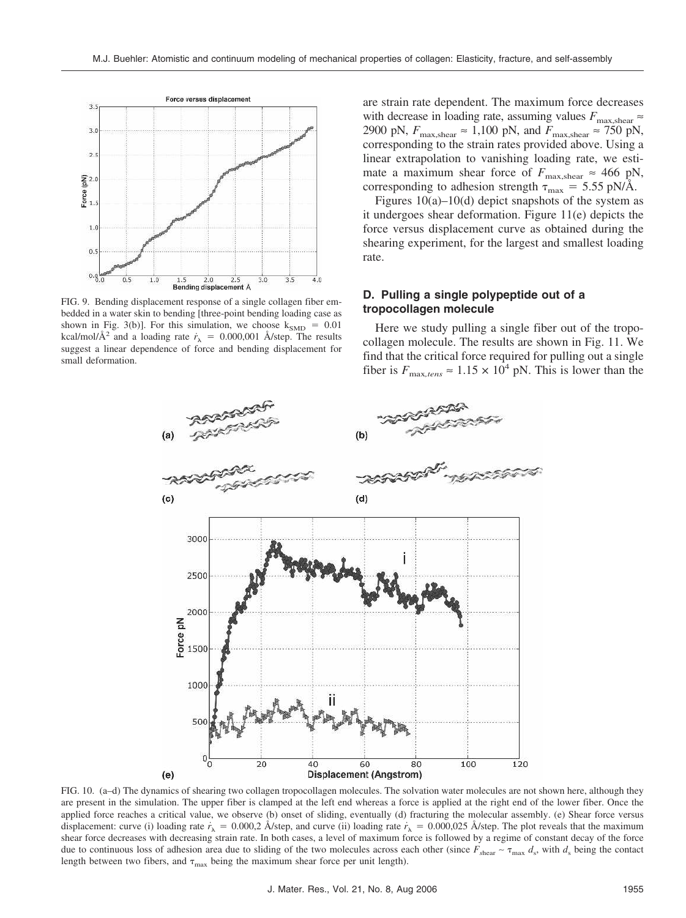

FIG. 9. Bending displacement response of a single collagen fiber embedded in a water skin to bending [three-point bending loading case as shown in Fig. 3(b)]. For this simulation, we choose  $k_{SMD} = 0.01$ kcal/mol/ $A^2$  and a loading rate  $\dot{r}_\lambda$  = 0.000,001 Å/step. The results suggest a linear dependence of force and bending displacement for small deformation.

are strain rate dependent. The maximum force decreases with decrease in loading rate, assuming values  $F_{\text{max,shear}} \approx$ 2900 pN,  $F_{\text{max,shear}} \approx 1,100 \text{ pN}$ , and  $F_{\text{max,shear}} \approx 750 \text{ pN}$ , corresponding to the strain rates provided above. Using a linear extrapolation to vanishing loading rate, we estimate a maximum shear force of  $F_{\text{max,shear}} \approx 466 \text{ pN},$ corresponding to adhesion strength  $\tau_{\text{max}} = 5.55 \text{ pN/A}.$ 

Figures  $10(a)$ – $10(d)$  depict snapshots of the system as it undergoes shear deformation. Figure 11(e) depicts the force versus displacement curve as obtained during the shearing experiment, for the largest and smallest loading rate.

## **D. Pulling a single polypeptide out of a tropocollagen molecule**

Here we study pulling a single fiber out of the tropocollagen molecule. The results are shown in Fig. 11. We find that the critical force required for pulling out a single fiber is  $F_{\text{max, tens}} \approx 1.15 \times 10^4 \text{ pN}$ . This is lower than the



FIG. 10. (a–d) The dynamics of shearing two collagen tropocollagen molecules. The solvation water molecules are not shown here, although they are present in the simulation. The upper fiber is clamped at the left end whereas a force is applied at the right end of the lower fiber. Once the applied force reaches a critical value, we observe (b) onset of sliding, eventually (d) fracturing the molecular assembly. (e) Shear force versus displacement: curve (i) loading rate  $\dot{r}_{\lambda} = 0.000,2$  Å/step, and curve (ii) loading rate  $\dot{r}_{\lambda} = 0.000,025$  Å/step. The plot reveals that the maximum shear force decreases with decreasing strain rate. In both cases, a level of maximum force is followed by a regime of constant decay of the force due to continuous loss of adhesion area due to sliding of the two molecules across each other (since  $F_{\text{shear}} \sim \tau_{\text{max}} d_s$ , with  $d_s$  being the contact length between two fibers, and  $\tau_{\text{max}}$  being the maximum shear force per unit length).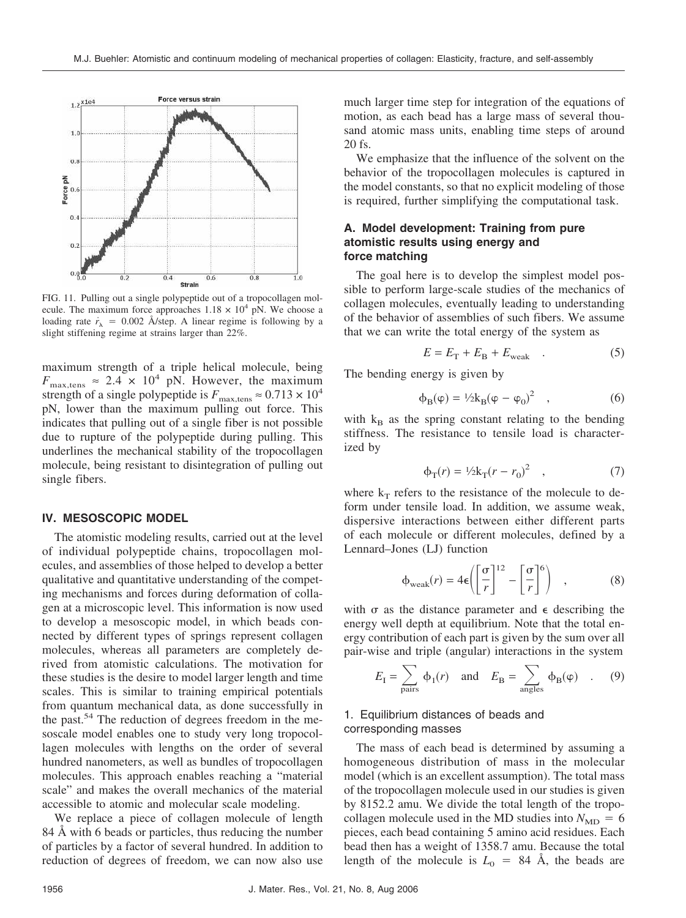

FIG. 11. Pulling out a single polypeptide out of a tropocollagen molecule. The maximum force approaches  $1.18 \times 10^4$  pN. We choose a loading rate  $\dot{r}_{\lambda}$  = 0.002 Å/step. A linear regime is following by a slight stiffening regime at strains larger than 22%.

maximum strength of a triple helical molecule, being  $F_{\text{max,tens}} \approx 2.4 \times 10^4 \text{ pN}$ . However, the maximum strength of a single polypeptide is  $F_{\text{max,tens}} \approx 0.713 \times 10^4$ pN, lower than the maximum pulling out force. This indicates that pulling out of a single fiber is not possible due to rupture of the polypeptide during pulling. This underlines the mechanical stability of the tropocollagen molecule, being resistant to disintegration of pulling out single fibers.

#### **IV. MESOSCOPIC MODEL**

The atomistic modeling results, carried out at the level of individual polypeptide chains, tropocollagen molecules, and assemblies of those helped to develop a better qualitative and quantitative understanding of the competing mechanisms and forces during deformation of collagen at a microscopic level. This information is now used to develop a mesoscopic model, in which beads connected by different types of springs represent collagen molecules, whereas all parameters are completely derived from atomistic calculations. The motivation for these studies is the desire to model larger length and time scales. This is similar to training empirical potentials from quantum mechanical data, as done successfully in the past.<sup>54</sup> The reduction of degrees freedom in the mesoscale model enables one to study very long tropocollagen molecules with lengths on the order of several hundred nanometers, as well as bundles of tropocollagen molecules. This approach enables reaching a "material scale" and makes the overall mechanics of the material accessible to atomic and molecular scale modeling.

We replace a piece of collagen molecule of length 84 Å with 6 beads or particles, thus reducing the number of particles by a factor of several hundred. In addition to reduction of degrees of freedom, we can now also use

much larger time step for integration of the equations of motion, as each bead has a large mass of several thousand atomic mass units, enabling time steps of around 20 fs.

We emphasize that the influence of the solvent on the behavior of the tropocollagen molecules is captured in the model constants, so that no explicit modeling of those is required, further simplifying the computational task.

# **A. Model development: Training from pure atomistic results using energy and force matching**

The goal here is to develop the simplest model possible to perform large-scale studies of the mechanics of collagen molecules, eventually leading to understanding of the behavior of assemblies of such fibers. We assume that we can write the total energy of the system as

$$
E = E_{\rm T} + E_{\rm B} + E_{\rm weak} \quad . \tag{5}
$$

The bending energy is given by

$$
\phi_B(\varphi) = \frac{1}{2}k_B(\varphi - \varphi_0)^2 \quad , \tag{6}
$$

with  $k_B$  as the spring constant relating to the bending stiffness. The resistance to tensile load is characterized by

$$
\Phi_{\rm T}(r) = \frac{1}{2k_{\rm T}(r - r_0)^2} \quad , \tag{7}
$$

where  $k_T$  refers to the resistance of the molecule to deform under tensile load. In addition, we assume weak, dispersive interactions between either different parts of each molecule or different molecules, defined by a Lennard–Jones (LJ) function

$$
\phi_{\text{weak}}(r) = 4\epsilon \left( \left[ \frac{\sigma}{r} \right]^{12} - \left[ \frac{\sigma}{r} \right]^{6} \right) ,\qquad (8)
$$

with  $\sigma$  as the distance parameter and  $\epsilon$  describing the energy well depth at equilibrium. Note that the total energy contribution of each part is given by the sum over all pair-wise and triple (angular) interactions in the system

$$
E_{I} = \sum_{\text{pairs}} \phi_{1}(r)
$$
 and  $E_{B} = \sum_{\text{angles}} \phi_{B}(\varphi)$ . (9)

## 1. Equilibrium distances of beads and corresponding masses

The mass of each bead is determined by assuming a homogeneous distribution of mass in the molecular model (which is an excellent assumption). The total mass of the tropocollagen molecule used in our studies is given by 8152.2 amu. We divide the total length of the tropocollagen molecule used in the MD studies into  $N_{MD} = 6$ pieces, each bead containing 5 amino acid residues. Each bead then has a weight of 1358.7 amu. Because the total length of the molecule is  $L_0 = 84$  Å, the beads are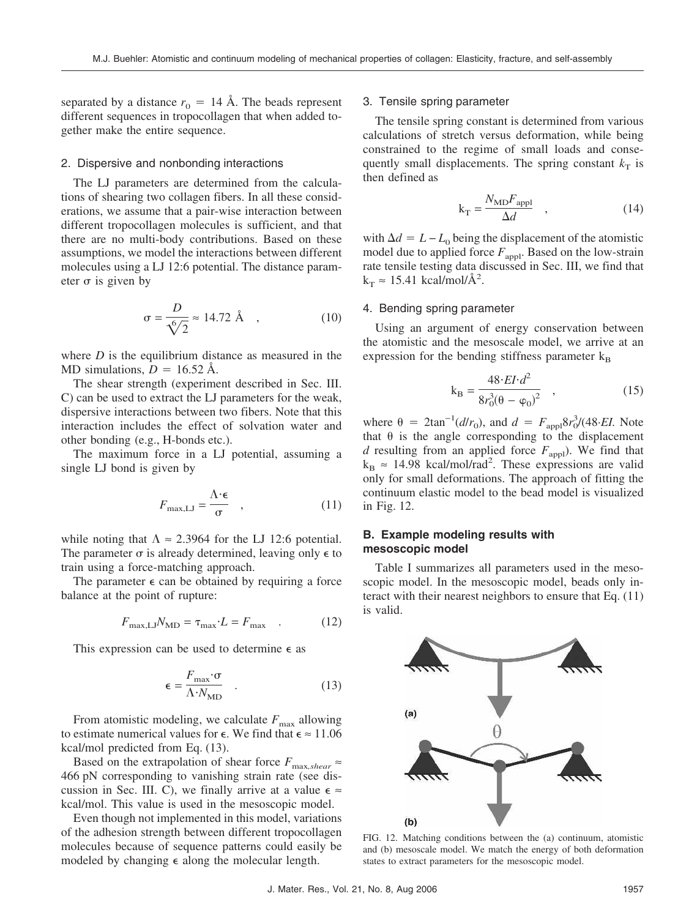separated by a distance  $r_0 = 14 \text{ Å}$ . The beads represent different sequences in tropocollagen that when added together make the entire sequence.

#### 2. Dispersive and nonbonding interactions

The LJ parameters are determined from the calculations of shearing two collagen fibers. In all these considerations, we assume that a pair-wise interaction between different tropocollagen molecules is sufficient, and that there are no multi-body contributions. Based on these assumptions, we model the interactions between different molecules using a LJ 12:6 potential. The distance parameter  $\sigma$  is given by

$$
\sigma = \frac{D}{\sqrt[6]{2}} \approx 14.72 \text{ Å} \quad , \tag{10}
$$

where *D* is the equilibrium distance as measured in the MD simulations,  $D = 16.52$  Å.

The shear strength (experiment described in Sec. III. C) can be used to extract the LJ parameters for the weak, dispersive interactions between two fibers. Note that this interaction includes the effect of solvation water and other bonding (e.g., H-bonds etc.).

The maximum force in a LJ potential, assuming a single LJ bond is given by

$$
F_{\text{max,LJ}} = \frac{\Lambda \cdot \epsilon}{\sigma} \quad , \tag{11}
$$

while noting that  $\Lambda \approx 2.3964$  for the LJ 12:6 potential. The parameter  $\sigma$  is already determined, leaving only  $\epsilon$  to train using a force-matching approach.

The parameter  $\epsilon$  can be obtained by requiring a force balance at the point of rupture:

$$
F_{\text{max,LJ}}N_{\text{MD}} = \tau_{\text{max}} \cdot L = F_{\text{max}} \quad . \tag{12}
$$

This expression can be used to determine  $\epsilon$  as

$$
\epsilon = \frac{F_{\text{max}} \cdot \sigma}{\Lambda \cdot N_{\text{MD}}} \quad . \tag{13}
$$

From atomistic modeling, we calculate  $F_{\text{max}}$  allowing to estimate numerical values for  $\epsilon$ . We find that  $\epsilon \approx 11.06$ kcal/mol predicted from Eq. (13).

Based on the extrapolation of shear force  $F_{\text{max},shear} \approx$ 466 pN corresponding to vanishing strain rate (see discussion in Sec. III. C), we finally arrive at a value  $\epsilon \approx$ kcal/mol. This value is used in the mesoscopic model.

Even though not implemented in this model, variations of the adhesion strength between different tropocollagen molecules because of sequence patterns could easily be modeled by changing  $\epsilon$  along the molecular length.

#### 3. Tensile spring parameter

The tensile spring constant is determined from various calculations of stretch versus deformation, while being constrained to the regime of small loads and consequently small displacements. The spring constant  $k<sub>T</sub>$  is then defined as

$$
k_{T} = \frac{N_{MD}F_{appl}}{\Delta d} \quad , \tag{14}
$$

with  $\Delta d = L - L_0$  being the displacement of the atomistic model due to applied force  $F_{\text{appl}}$ . Based on the low-strain rate tensile testing data discussed in Sec. III, we find that  $k_T \approx 15.41$  kcal/mol/ $\AA^2$ .

#### 4. Bending spring parameter

Using an argument of energy conservation between the atomistic and the mesoscale model, we arrive at an expression for the bending stiffness parameter  $k_B$ 

$$
k_{\rm B} = \frac{48 \cdot EI \cdot d^2}{8r_0^3(\theta - \varphi_0)^2} \quad , \tag{15}
$$

where  $\theta = 2 \tan^{-1} (d/r_0)$ , and  $d = F_{\text{appl}} 8r_0^3/(48 \cdot EI)$ . Note that  $\theta$  is the angle corresponding to the displacement *d* resulting from an applied force  $F_{\text{appl}}$ ). We find that  $k_B \approx 14.98$  kcal/mol/rad<sup>2</sup>. These expressions are valid only for small deformations. The approach of fitting the continuum elastic model to the bead model is visualized in Fig. 12.

## **B. Example modeling results with mesoscopic model**

Table I summarizes all parameters used in the mesoscopic model. In the mesoscopic model, beads only interact with their nearest neighbors to ensure that Eq. (11) is valid.



FIG. 12. Matching conditions between the (a) continuum, atomistic and (b) mesoscale model. We match the energy of both deformation states to extract parameters for the mesoscopic model.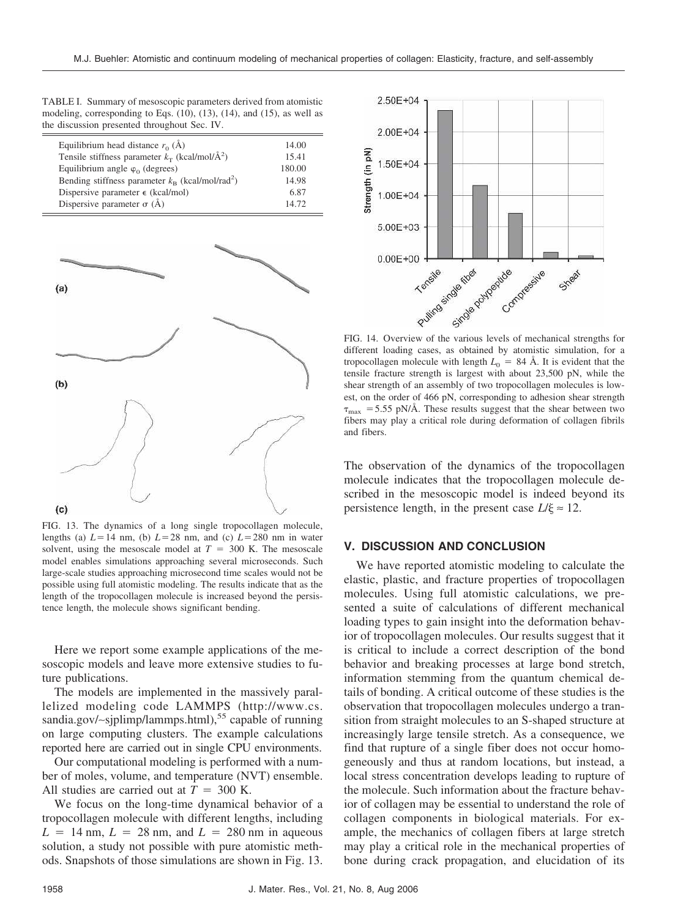TABLE I. Summary of mesoscopic parameters derived from atomistic modeling, corresponding to Eqs. (10), (13), (14), and (15), as well as the discussion presented throughout Sec. IV.

| Equilibrium head distance $r_0$ (Å)                                                                          | 14.00         |
|--------------------------------------------------------------------------------------------------------------|---------------|
| Tensile stiffness parameter $kr$ (kcal/mol/ $\AA$ <sup>2</sup> )                                             | 15.41         |
| Equilibrium angle $\varphi_0$ (degrees)                                                                      | 180.00        |
| Bending stiffness parameter $k_B$ (kcal/mol/rad <sup>2</sup> )<br>Dispersive parameter $\epsilon$ (kcal/mol) | 14.98<br>6.87 |
| Dispersive parameter $\sigma$ ( $\AA$ )                                                                      | 14.72         |
|                                                                                                              |               |



FIG. 13. The dynamics of a long single tropocollagen molecule, lengths (a)  $L=14$  nm, (b)  $L=28$  nm, and (c)  $L=280$  nm in water solvent, using the mesoscale model at  $T = 300$  K. The mesoscale model enables simulations approaching several microseconds. Such large-scale studies approaching microsecond time scales would not be possible using full atomistic modeling. The results indicate that as the length of the tropocollagen molecule is increased beyond the persistence length, the molecule shows significant bending.

Here we report some example applications of the mesoscopic models and leave more extensive studies to future publications.

The models are implemented in the massively parallelized modeling code LAMMPS (http://www.cs. sandia.gov/~sjplimp/lammps.html),<sup>55</sup> capable of running on large computing clusters. The example calculations reported here are carried out in single CPU environments.

Our computational modeling is performed with a number of moles, volume, and temperature (NVT) ensemble. All studies are carried out at  $T = 300$  K.

We focus on the long-time dynamical behavior of a tropocollagen molecule with different lengths, including  $L = 14$  nm,  $L = 28$  nm, and  $L = 280$  nm in aqueous solution, a study not possible with pure atomistic methods. Snapshots of those simulations are shown in Fig. 13.



different loading cases, as obtained by atomistic simulation, for a tropocollagen molecule with length  $L_0 = 84$  Å. It is evident that the tensile fracture strength is largest with about 23,500 pN, while the shear strength of an assembly of two tropocollagen molecules is lowest, on the order of 466 pN, corresponding to adhesion shear strength  $\tau_{\text{max}}$  = 5.55 pN/Å. These results suggest that the shear between two fibers may play a critical role during deformation of collagen fibrils and fibers.

The observation of the dynamics of the tropocollagen molecule indicates that the tropocollagen molecule described in the mesoscopic model is indeed beyond its persistence length, in the present case  $L/\xi \approx 12$ .

#### **V. DISCUSSION AND CONCLUSION**

We have reported atomistic modeling to calculate the elastic, plastic, and fracture properties of tropocollagen molecules. Using full atomistic calculations, we presented a suite of calculations of different mechanical loading types to gain insight into the deformation behavior of tropocollagen molecules. Our results suggest that it is critical to include a correct description of the bond behavior and breaking processes at large bond stretch, information stemming from the quantum chemical details of bonding. A critical outcome of these studies is the observation that tropocollagen molecules undergo a transition from straight molecules to an S-shaped structure at increasingly large tensile stretch. As a consequence, we find that rupture of a single fiber does not occur homogeneously and thus at random locations, but instead, a local stress concentration develops leading to rupture of the molecule. Such information about the fracture behavior of collagen may be essential to understand the role of collagen components in biological materials. For example, the mechanics of collagen fibers at large stretch may play a critical role in the mechanical properties of bone during crack propagation, and elucidation of its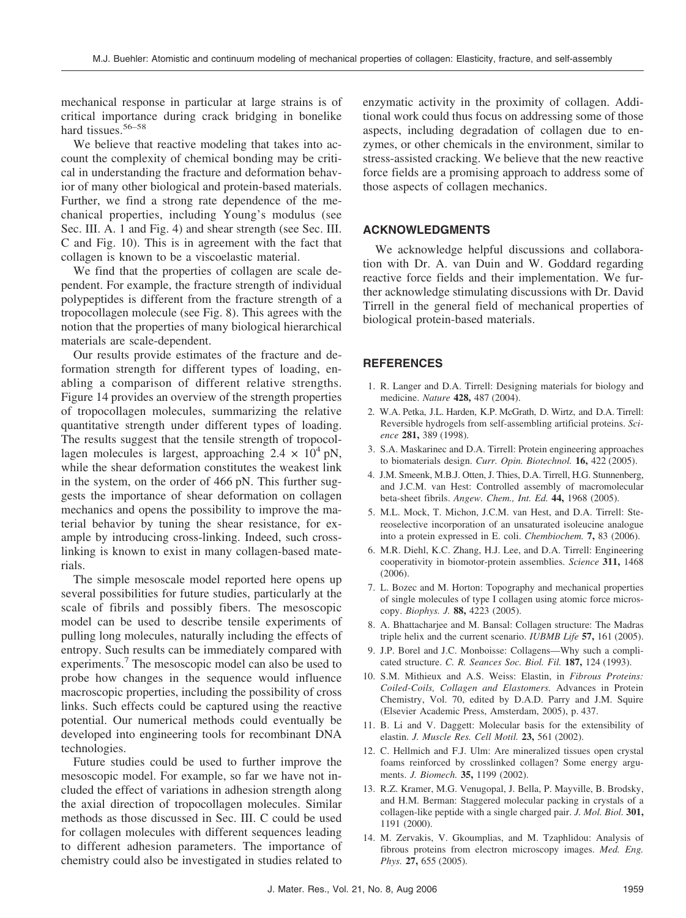mechanical response in particular at large strains is of critical importance during crack bridging in bonelike hard tissues.<sup>56–58</sup>

We believe that reactive modeling that takes into account the complexity of chemical bonding may be critical in understanding the fracture and deformation behavior of many other biological and protein-based materials. Further, we find a strong rate dependence of the mechanical properties, including Young's modulus (see Sec. III. A. 1 and Fig. 4) and shear strength (see Sec. III. C and Fig. 10). This is in agreement with the fact that collagen is known to be a viscoelastic material.

We find that the properties of collagen are scale dependent. For example, the fracture strength of individual polypeptides is different from the fracture strength of a tropocollagen molecule (see Fig. 8). This agrees with the notion that the properties of many biological hierarchical materials are scale-dependent.

Our results provide estimates of the fracture and deformation strength for different types of loading, enabling a comparison of different relative strengths. Figure 14 provides an overview of the strength properties of tropocollagen molecules, summarizing the relative quantitative strength under different types of loading. The results suggest that the tensile strength of tropocollagen molecules is largest, approaching  $2.4 \times 10^4$  pN, while the shear deformation constitutes the weakest link in the system, on the order of 466 pN. This further suggests the importance of shear deformation on collagen mechanics and opens the possibility to improve the material behavior by tuning the shear resistance, for example by introducing cross-linking. Indeed, such crosslinking is known to exist in many collagen-based materials.

The simple mesoscale model reported here opens up several possibilities for future studies, particularly at the scale of fibrils and possibly fibers. The mesoscopic model can be used to describe tensile experiments of pulling long molecules, naturally including the effects of entropy. Such results can be immediately compared with experiments.<sup>7</sup> The mesoscopic model can also be used to probe how changes in the sequence would influence macroscopic properties, including the possibility of cross links. Such effects could be captured using the reactive potential. Our numerical methods could eventually be developed into engineering tools for recombinant DNA technologies.

Future studies could be used to further improve the mesoscopic model. For example, so far we have not included the effect of variations in adhesion strength along the axial direction of tropocollagen molecules. Similar methods as those discussed in Sec. III. C could be used for collagen molecules with different sequences leading to different adhesion parameters. The importance of chemistry could also be investigated in studies related to enzymatic activity in the proximity of collagen. Additional work could thus focus on addressing some of those aspects, including degradation of collagen due to enzymes, or other chemicals in the environment, similar to stress-assisted cracking. We believe that the new reactive force fields are a promising approach to address some of those aspects of collagen mechanics.

#### **ACKNOWLEDGMENTS**

We acknowledge helpful discussions and collaboration with Dr. A. van Duin and W. Goddard regarding reactive force fields and their implementation. We further acknowledge stimulating discussions with Dr. David Tirrell in the general field of mechanical properties of biological protein-based materials.

#### **REFERENCES**

- 1. R. Langer and D.A. Tirrell: Designing materials for biology and medicine. *Nature* **428,** 487 (2004).
- 2. W.A. Petka, J.L. Harden, K.P. McGrath, D. Wirtz, and D.A. Tirrell: Reversible hydrogels from self-assembling artificial proteins. *Science* **281,** 389 (1998).
- 3. S.A. Maskarinec and D.A. Tirrell: Protein engineering approaches to biomaterials design. *Curr. Opin. Biotechnol.* **16,** 422 (2005).
- 4. J.M. Smeenk, M.B.J. Otten, J. Thies, D.A. Tirrell, H.G. Stunnenberg, and J.C.M. van Hest: Controlled assembly of macromolecular beta-sheet fibrils. *Angew. Chem., Int. Ed.* **44,** 1968 (2005).
- 5. M.L. Mock, T. Michon, J.C.M. van Hest, and D.A. Tirrell: Stereoselective incorporation of an unsaturated isoleucine analogue into a protein expressed in E. coli. *Chembiochem.* **7,** 83 (2006).
- 6. M.R. Diehl, K.C. Zhang, H.J. Lee, and D.A. Tirrell: Engineering cooperativity in biomotor-protein assemblies. *Science* **311,** 1468 (2006).
- 7. L. Bozec and M. Horton: Topography and mechanical properties of single molecules of type I collagen using atomic force microscopy. *Biophys. J.* **88,** 4223 (2005).
- 8. A. Bhattacharjee and M. Bansal: Collagen structure: The Madras triple helix and the current scenario. *IUBMB Life* **57,** 161 (2005).
- 9. J.P. Borel and J.C. Monboisse: Collagens—Why such a complicated structure. *C. R. Seances Soc. Biol. Fil.* **187,** 124 (1993).
- 10. S.M. Mithieux and A.S. Weiss: Elastin, in *Fibrous Proteins: Coiled-Coils, Collagen and Elastomers.* Advances in Protein Chemistry, Vol. 70, edited by D.A.D. Parry and J.M. Squire (Elsevier Academic Press, Amsterdam, 2005), p. 437.
- 11. B. Li and V. Daggett: Molecular basis for the extensibility of elastin. *J. Muscle Res. Cell Motil.* **23,** 561 (2002).
- 12. C. Hellmich and F.J. Ulm: Are mineralized tissues open crystal foams reinforced by crosslinked collagen? Some energy arguments. *J. Biomech.* **35,** 1199 (2002).
- 13. R.Z. Kramer, M.G. Venugopal, J. Bella, P. Mayville, B. Brodsky, and H.M. Berman: Staggered molecular packing in crystals of a collagen-like peptide with a single charged pair. *J. Mol. Biol.* **301,** 1191 (2000).
- 14. M. Zervakis, V. Gkoumplias, and M. Tzaphlidou: Analysis of fibrous proteins from electron microscopy images. *Med. Eng. Phys.* **27,** 655 (2005).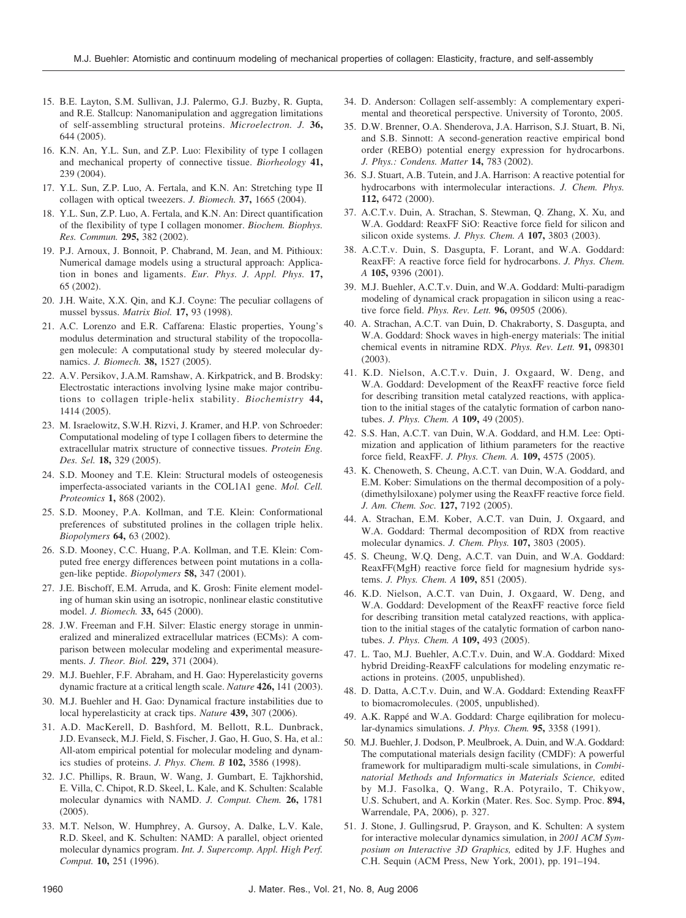- 15. B.E. Layton, S.M. Sullivan, J.J. Palermo, G.J. Buzby, R. Gupta, and R.E. Stallcup: Nanomanipulation and aggregation limitations of self-assembling structural proteins. *Microelectron. J.* **36,** 644 (2005).
- 16. K.N. An, Y.L. Sun, and Z.P. Luo: Flexibility of type I collagen and mechanical property of connective tissue. *Biorheology* **41,** 239 (2004).
- 17. Y.L. Sun, Z.P. Luo, A. Fertala, and K.N. An: Stretching type II collagen with optical tweezers. *J. Biomech.* **37,** 1665 (2004).
- 18. Y.L. Sun, Z.P. Luo, A. Fertala, and K.N. An: Direct quantification of the flexibility of type I collagen monomer. *Biochem. Biophys. Res. Commun.* **295,** 382 (2002).
- 19. P.J. Arnoux, J. Bonnoit, P. Chabrand, M. Jean, and M. Pithioux: Numerical damage models using a structural approach: Application in bones and ligaments. *Eur. Phys. J. Appl. Phys.* **17,** 65 (2002).
- 20. J.H. Waite, X.X. Qin, and K.J. Coyne: The peculiar collagens of mussel byssus. *Matrix Biol.* **17,** 93 (1998).
- 21. A.C. Lorenzo and E.R. Caffarena: Elastic properties, Young's modulus determination and structural stability of the tropocollagen molecule: A computational study by steered molecular dynamics. *J. Biomech.* **38,** 1527 (2005).
- 22. A.V. Persikov, J.A.M. Ramshaw, A. Kirkpatrick, and B. Brodsky: Electrostatic interactions involving lysine make major contributions to collagen triple-helix stability. *Biochemistry* **44,** 1414 (2005).
- 23. M. Israelowitz, S.W.H. Rizvi, J. Kramer, and H.P. von Schroeder: Computational modeling of type I collagen fibers to determine the extracellular matrix structure of connective tissues. *Protein Eng. Des. Sel.* **18,** 329 (2005).
- 24. S.D. Mooney and T.E. Klein: Structural models of osteogenesis imperfecta-associated variants in the COL1A1 gene. *Mol. Cell. Proteomics* **1,** 868 (2002).
- 25. S.D. Mooney, P.A. Kollman, and T.E. Klein: Conformational preferences of substituted prolines in the collagen triple helix. *Biopolymers* **64,** 63 (2002).
- 26. S.D. Mooney, C.C. Huang, P.A. Kollman, and T.E. Klein: Computed free energy differences between point mutations in a collagen-like peptide. *Biopolymers* **58,** 347 (2001).
- 27. J.E. Bischoff, E.M. Arruda, and K. Grosh: Finite element modeling of human skin using an isotropic, nonlinear elastic constitutive model. *J. Biomech.* **33,** 645 (2000).
- 28. J.W. Freeman and F.H. Silver: Elastic energy storage in unmineralized and mineralized extracellular matrices (ECMs): A comparison between molecular modeling and experimental measurements. *J. Theor. Biol.* **229,** 371 (2004).
- 29. M.J. Buehler, F.F. Abraham, and H. Gao: Hyperelasticity governs dynamic fracture at a critical length scale. *Nature* **426,** 141 (2003).
- 30. M.J. Buehler and H. Gao: Dynamical fracture instabilities due to local hyperelasticity at crack tips. *Nature* **439,** 307 (2006).
- 31. A.D. MacKerell, D. Bashford, M. Bellott, R.L. Dunbrack, J.D. Evanseck, M.J. Field, S. Fischer, J. Gao, H. Guo, S. Ha, et al.: All-atom empirical potential for molecular modeling and dynamics studies of proteins. *J. Phys. Chem. B* **102,** 3586 (1998).
- 32. J.C. Phillips, R. Braun, W. Wang, J. Gumbart, E. Tajkhorshid, E. Villa, C. Chipot, R.D. Skeel, L. Kale, and K. Schulten: Scalable molecular dynamics with NAMD. *J. Comput. Chem.* **26,** 1781 (2005).
- 33. M.T. Nelson, W. Humphrey, A. Gursoy, A. Dalke, L.V. Kale, R.D. Skeel, and K. Schulten: NAMD: A parallel, object oriented molecular dynamics program. *Int. J. Supercomp. Appl. High Perf. Comput.* **10,** 251 (1996).
- 34. D. Anderson: Collagen self-assembly: A complementary experimental and theoretical perspective. University of Toronto, 2005.
- 35. D.W. Brenner, O.A. Shenderova, J.A. Harrison, S.J. Stuart, B. Ni, and S.B. Sinnott: A second-generation reactive empirical bond order (REBO) potential energy expression for hydrocarbons. *J. Phys.: Condens. Matter* **14,** 783 (2002).
- 36. S.J. Stuart, A.B. Tutein, and J.A. Harrison: A reactive potential for hydrocarbons with intermolecular interactions. *J. Chem. Phys.* **112,** 6472 (2000).
- 37. A.C.T.v. Duin, A. Strachan, S. Stewman, Q. Zhang, X. Xu, and W.A. Goddard: ReaxFF SiO: Reactive force field for silicon and silicon oxide systems. *J. Phys. Chem. A* **107,** 3803 (2003).
- 38. A.C.T.v. Duin, S. Dasgupta, F. Lorant, and W.A. Goddard: ReaxFF: A reactive force field for hydrocarbons. *J. Phys. Chem. A* **105,** 9396 (2001).
- 39. M.J. Buehler, A.C.T.v. Duin, and W.A. Goddard: Multi-paradigm modeling of dynamical crack propagation in silicon using a reactive force field. *Phys. Rev. Lett.* **96,** 09505 (2006).
- 40. A. Strachan, A.C.T. van Duin, D. Chakraborty, S. Dasgupta, and W.A. Goddard: Shock waves in high-energy materials: The initial chemical events in nitramine RDX. *Phys. Rev. Lett.* **91,** 098301 (2003).
- 41. K.D. Nielson, A.C.T.v. Duin, J. Oxgaard, W. Deng, and W.A. Goddard: Development of the ReaxFF reactive force field for describing transition metal catalyzed reactions, with application to the initial stages of the catalytic formation of carbon nanotubes. *J. Phys. Chem. A* **109,** 49 (2005).
- 42. S.S. Han, A.C.T. van Duin, W.A. Goddard, and H.M. Lee: Optimization and application of lithium parameters for the reactive force field, ReaxFF. *J. Phys. Chem. A.* **109,** 4575 (2005).
- 43. K. Chenoweth, S. Cheung, A.C.T. van Duin, W.A. Goddard, and E.M. Kober: Simulations on the thermal decomposition of a poly- (dimethylsiloxane) polymer using the ReaxFF reactive force field. *J. Am. Chem. Soc.* **127,** 7192 (2005).
- 44. A. Strachan, E.M. Kober, A.C.T. van Duin, J. Oxgaard, and W.A. Goddard: Thermal decomposition of RDX from reactive molecular dynamics. *J. Chem. Phys.* **107,** 3803 (2005).
- 45. S. Cheung, W.Q. Deng, A.C.T. van Duin, and W.A. Goddard: ReaxFF(MgH) reactive force field for magnesium hydride systems. *J. Phys. Chem. A* **109,** 851 (2005).
- 46. K.D. Nielson, A.C.T. van Duin, J. Oxgaard, W. Deng, and W.A. Goddard: Development of the ReaxFF reactive force field for describing transition metal catalyzed reactions, with application to the initial stages of the catalytic formation of carbon nanotubes. *J. Phys. Chem. A* **109,** 493 (2005).
- 47. L. Tao, M.J. Buehler, A.C.T.v. Duin, and W.A. Goddard: Mixed hybrid Dreiding-ReaxFF calculations for modeling enzymatic reactions in proteins. (2005, unpublished).
- 48. D. Datta, A.C.T.v. Duin, and W.A. Goddard: Extending ReaxFF to biomacromolecules. (2005, unpublished).
- 49. A.K. Rappé and W.A. Goddard: Charge eqilibration for molecular-dynamics simulations. *J. Phys. Chem.* **95,** 3358 (1991).
- 50. M.J. Buehler, J. Dodson, P. Meulbroek, A. Duin, and W.A. Goddard: The computational materials design facility (CMDF): A powerful framework for multiparadigm multi-scale simulations, in *Combinatorial Methods and Informatics in Materials Science,* edited by M.J. Fasolka, Q. Wang, R.A. Potyrailo, T. Chikyow, U.S. Schubert, and A. Korkin (Mater. Res. Soc. Symp. Proc. **894,** Warrendale, PA, 2006), p. 327.
- 51. J. Stone, J. Gullingsrud, P. Grayson, and K. Schulten: A system for interactive molecular dynamics simulation, in *2001 ACM Symposium on Interactive 3D Graphics,* edited by J.F. Hughes and C.H. Sequin (ACM Press, New York, 2001), pp. 191–194.